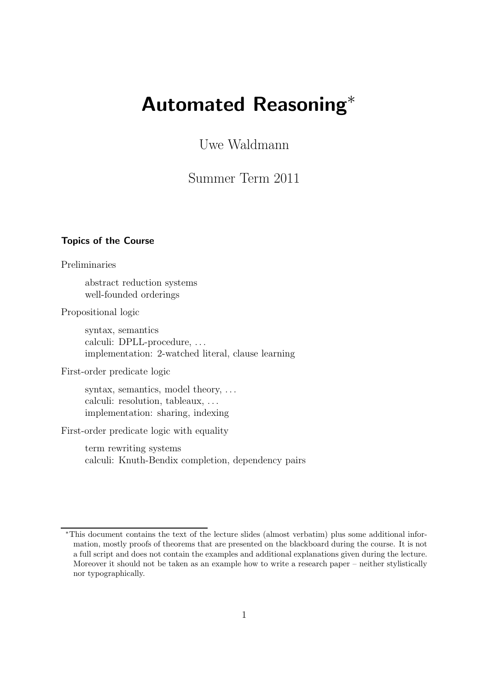# Automated Reasoning<sup>∗</sup>

Uwe Waldmann

Summer Term 2011

# Topics of the Course

Preliminaries

abstract reduction systems well-founded orderings

Propositional logic

syntax, semantics calculi: DPLL-procedure, ... implementation: 2-watched literal, clause learning

First-order predicate logic

syntax, semantics, model theory, ... calculi: resolution, tableaux, . . . implementation: sharing, indexing

First-order predicate logic with equality

term rewriting systems calculi: Knuth-Bendix completion, dependency pairs

<sup>∗</sup>This document contains the text of the lecture slides (almost verbatim) plus some additional information, mostly proofs of theorems that are presented on the blackboard during the course. It is not a full script and does not contain the examples and additional explanations given during the lecture. Moreover it should not be taken as an example how to write a research paper – neither stylistically nor typographically.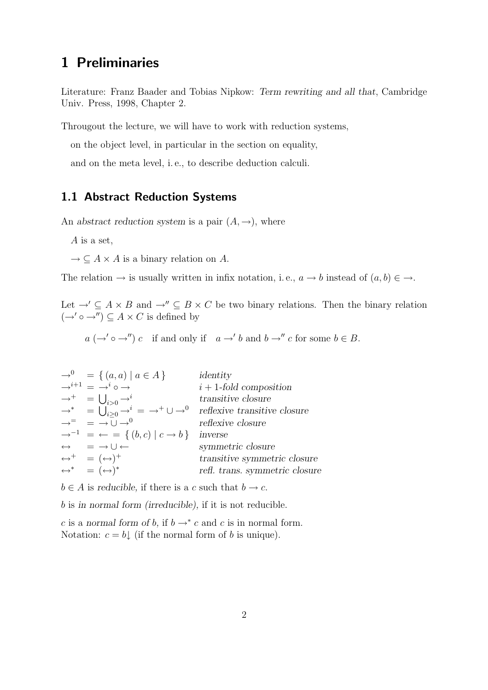# 1 Preliminaries

Literature: Franz Baader and Tobias Nipkow: Term rewriting and all that, Cambridge Univ. Press, 1998, Chapter 2.

Througout the lecture, we will have to work with reduction systems,

on the object level, in particular in the section on equality,

and on the meta level, i. e., to describe deduction calculi.

# 1.1 Abstract Reduction Systems

An abstract reduction system is a pair  $(A, \rightarrow)$ , where

A is a set,

 $\rightarrow \subseteq A \times A$  is a binary relation on A.

The relation  $\rightarrow$  is usually written in infix notation, i.e.,  $a \rightarrow b$  instead of  $(a, b) \in \rightarrow$ .

Let  $\rightarrow' \subseteq A \times B$  and  $\rightarrow'' \subseteq B \times C$  be two binary relations. Then the binary relation  $(\rightarrow' \circ \rightarrow'') \subseteq A \times C$  is defined by

 $a \ (\rightarrow' \circ \rightarrow'') c$  if and only if  $a \rightarrow' b$  and  $b \rightarrow'' c$  for some  $b \in B$ .

| $\rightarrow^0 = \{ (a, a) \mid a \in A \}$                                             | identity                                                                                                                                                                              |
|-----------------------------------------------------------------------------------------|---------------------------------------------------------------------------------------------------------------------------------------------------------------------------------------|
| $\rightarrow$ <sup><i>i</i>+1</sup> = $\rightarrow$ <sup><i>i</i></sup> o $\rightarrow$ | $i+1$ -fold composition                                                                                                                                                               |
| $\rightarrow^+$ = $\bigcup_{i>0} \rightarrow^i$                                         | transitive closure                                                                                                                                                                    |
|                                                                                         | $\rightarrow^*$ = $\bigcup_{i\geq 0}^{i\geq 0} \rightarrow^i$ = $\rightarrow^+ \cup \rightarrow^0$ reflexive transitive closure<br>$\rightarrow^=$ = $\rightarrow \cup \rightarrow^0$ |
|                                                                                         |                                                                                                                                                                                       |
| $\rightarrow^{-1}$ = $\leftarrow$ = { $(b, c)   c \rightarrow b$ } inverse              |                                                                                                                                                                                       |
| $\leftrightarrow \quad = \rightarrow \cup \leftarrow$                                   | symmetric closure                                                                                                                                                                     |
| $\leftrightarrow^+$ = $(\leftrightarrow)^+$                                             | transitive symmetric closure                                                                                                                                                          |
| $\leftrightarrow^*$ = $(\leftrightarrow)^*$                                             | refl. trans. symmetric closure                                                                                                                                                        |

 $b \in A$  is reducible, if there is a c such that  $b \to c$ .

b is in normal form (irreducible), if it is not reducible.

c is a normal form of b, if  $b \rightarrow^* c$  and c is in normal form. Notation:  $c = b$  (if the normal form of b is unique).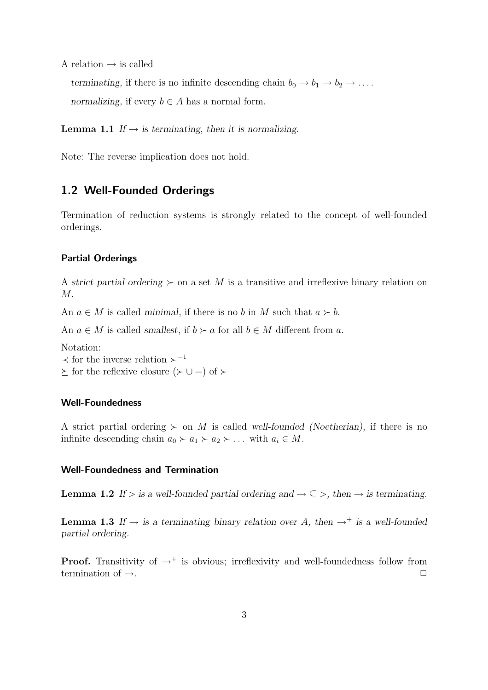A relation  $\rightarrow$  is called

terminating, if there is no infinite descending chain  $b_0 \rightarrow b_1 \rightarrow b_2 \rightarrow \ldots$ . normalizing, if every  $b \in A$  has a normal form.

**Lemma 1.1** If  $\rightarrow$  is terminating, then it is normalizing.

Note: The reverse implication does not hold.

# 1.2 Well-Founded Orderings

Termination of reduction systems is strongly related to the concept of well-founded orderings.

## Partial Orderings

A strict partial ordering  $\succeq$  on a set M is a transitive and irreflexive binary relation on  $M$ .

An  $a \in M$  is called minimal, if there is no b in M such that  $a \succ b$ .

An  $a \in M$  is called *smallest*, if  $b \succ a$  for all  $b \in M$  different from a.

Notation:

 $\prec$  for the inverse relation  $\succ^{-1}$ 

 $\succeq$  for the reflexive closure ( $\succ$  ∪ =) of  $\succ$ 

## Well-Foundedness

A strict partial ordering  $\succ$  on M is called well-founded (Noetherian), if there is no infinite descending chain  $a_0 \succ a_1 \succ a_2 \succ \ldots$  with  $a_i \in M$ .

#### Well-Foundedness and Termination

**Lemma 1.2** If > is a well-founded partial ordering and  $\rightarrow \subseteq$  >, then  $\rightarrow$  is terminating.

**Lemma 1.3** If  $\rightarrow$  is a terminating binary relation over A, then  $\rightarrow^+$  is a well-founded partial ordering.

**Proof.** Transitivity of  $\rightarrow$ <sup>+</sup> is obvious; irreflexivity and well-foundedness follow from termination of  $\rightarrow$ .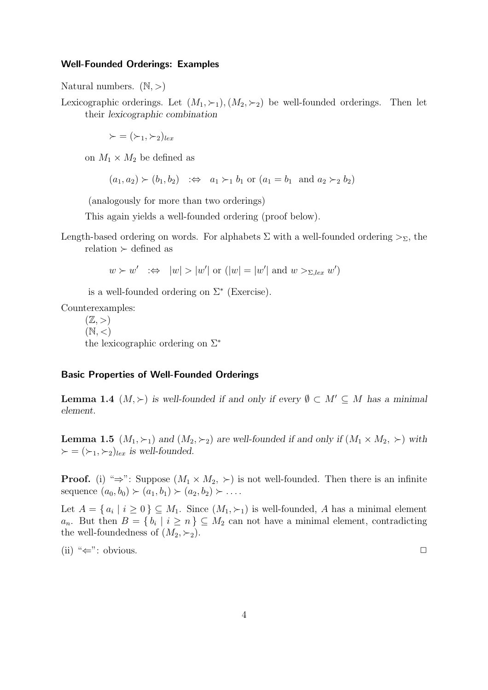#### Well-Founded Orderings: Examples

Natural numbers.  $(N, >)$ 

Lexicographic orderings. Let  $(M_1, \succ_1), (M_2, \succ_2)$  be well-founded orderings. Then let their lexicographic combination

 $\succ = (\succ_1, \succ_2)_{lex}$ 

on  $M_1 \times M_2$  be defined as

 $(a_1, a_2) \succ (b_1, b_2) \Rightarrow a_1 \succ_1 b_1 \text{ or } (a_1 = b_1 \text{ and } a_2 \succ_2 b_2)$ 

(analogously for more than two orderings)

This again yields a well-founded ordering (proof below).

Length-based ordering on words. For alphabets  $\Sigma$  with a well-founded ordering  $>_{\Sigma}$ , the relation  $\succ$  defined as

 $w \succ w' \implies |w| > |w'|$  or  $(|w| = |w'|$  and  $w >_{\Sigma, lex} w'$ 

is a well-founded ordering on  $\Sigma^*$  (Exercise).

Counterexamples:

 $(\mathbb{Z}, >)$  $(N,<)$ the lexicographic ordering on Σ<sup>∗</sup>

#### Basic Properties of Well-Founded Orderings

**Lemma 1.4**  $(M, \succ)$  is well-founded if and only if every  $\emptyset \subset M' \subseteq M$  has a minimal element.

**Lemma 1.5**  $(M_1, \succ_1)$  and  $(M_2, \succ_2)$  are well-founded if and only if  $(M_1 \times M_2, \succ)$  with  $\succ = (\succ_1, \succ_2)_{lex}$  is well-founded.

**Proof.** (i) " $\Rightarrow$ ": Suppose  $(M_1 \times M_2, \succ)$  is not well-founded. Then there is an infinite sequence  $(a_0, b_0) \succ (a_1, b_1) \succ (a_2, b_2) \succ \dots$ 

Let  $A = \{a_i \mid i \geq 0\} \subseteq M_1$ . Since  $(M_1, \succ_1)$  is well-founded, A has a minimal element  $a_n$ . But then  $B = \{b_i \mid i \geq n\} \subseteq M_2$  can not have a minimal element, contradicting the well-foundedness of  $(M_2, \succ_2)$ .

(ii) " $\Leftarrow$ ": obvious.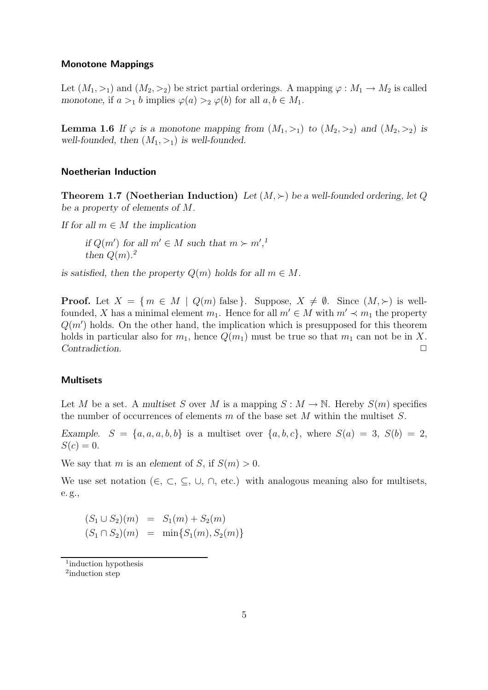#### Monotone Mappings

Let  $(M_1, >_1)$  and  $(M_2, >_2)$  be strict partial orderings. A mapping  $\varphi : M_1 \to M_2$  is called monotone, if  $a >_1 b$  implies  $\varphi(a) >_2 \varphi(b)$  for all  $a, b \in M_1$ .

**Lemma 1.6** If  $\varphi$  is a monotone mapping from  $(M_1, >_1)$  to  $(M_2, >_2)$  and  $(M_2, >_2)$  is well-founded, then  $(M_1, >_1)$  is well-founded.

#### Noetherian Induction

**Theorem 1.7 (Noetherian Induction)** Let  $(M, \succ)$  be a well-founded ordering, let Q be a property of elements of M.

If for all  $m \in M$  the implication

if  $Q(m')$  for all  $m' \in M$  such that  $m \succ m'$ ,<sup>1</sup> then  $Q(m)$ .<sup>2</sup>

is satisfied, then the property  $Q(m)$  holds for all  $m \in M$ .

**Proof.** Let  $X = \{m \in M \mid Q(m) \text{ false} \}$ . Suppose,  $X \neq \emptyset$ . Since  $(M, \succ)$  is wellfounded, X has a minimal element  $m_1$ . Hence for all  $m' \in M$  with  $m' \prec m_1$  the property  $Q(m')$  holds. On the other hand, the implication which is presupposed for this theorem holds in particular also for  $m_1$ , hence  $Q(m_1)$  must be true so that  $m_1$  can not be in X. Contradiction.

#### **Multisets**

Let M be a set. A multiset S over M is a mapping  $S : M \to \mathbb{N}$ . Hereby  $S(m)$  specifies the number of occurrences of elements  $m$  of the base set  $M$  within the multiset  $S$ .

Example.  $S = \{a, a, a, b, b\}$  is a multiset over  $\{a, b, c\}$ , where  $S(a) = 3$ ,  $S(b) = 2$ ,  $S(c) = 0.$ 

We say that m is an element of S, if  $S(m) > 0$ .

We use set notation ( $\in$ ,  $\subset$ ,  $\subseteq$ ,  $\cup$ ,  $\cap$ , etc.) with analogous meaning also for multisets, e. g.,

$$
(S_1 \cup S_2)(m) = S_1(m) + S_2(m)
$$
  

$$
(S_1 \cap S_2)(m) = \min\{S_1(m), S_2(m)\}\
$$

<sup>1</sup> induction hypothesis

<sup>&</sup>lt;sup>2</sup>induction step